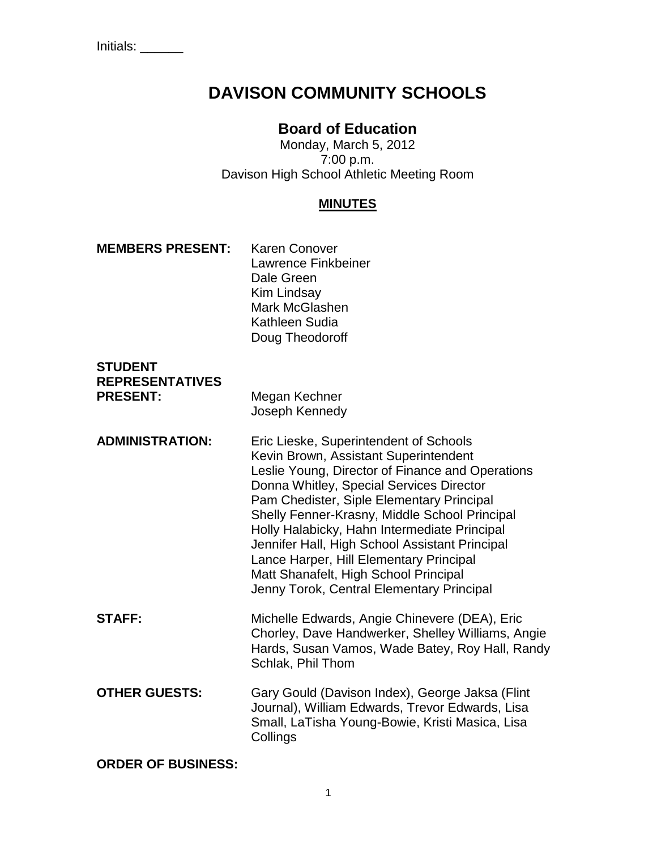# **DAVISON COMMUNITY SCHOOLS**

# **Board of Education**

Monday, March 5, 2012 7:00 p.m. Davison High School Athletic Meeting Room

## **MINUTES**

| <b>MEMBERS PRESENT:</b> | <b>Karen Conover</b> |
|-------------------------|----------------------|
|                         | Lawrence Finkbeiner  |
|                         | Dale Green           |
|                         | Kim Lindsay          |
|                         | Mark McGlashen       |
|                         | Kathleen Sudia       |
|                         | Doug Theodoroff      |

| <b>STUDENT</b>         |                            |
|------------------------|----------------------------|
| <b>REPRESENTATIVES</b> |                            |
| <b>PRESENT:</b>        | Megan Kechner              |
|                        | وامتع مرمزها كالماسط متعال |

| Megan Nechner  |
|----------------|
| Joseph Kennedy |
|                |

- **ADMINISTRATION:** Eric Lieske, Superintendent of Schools Kevin Brown, Assistant Superintendent Leslie Young, Director of Finance and Operations Donna Whitley, Special Services Director Pam Chedister, Siple Elementary Principal Shelly Fenner-Krasny, Middle School Principal Holly Halabicky, Hahn Intermediate Principal Jennifer Hall, High School Assistant Principal Lance Harper, Hill Elementary Principal Matt Shanafelt, High School Principal Jenny Torok, Central Elementary Principal
- **STAFF:** Michelle Edwards, Angie Chinevere (DEA), Eric Chorley, Dave Handwerker, Shelley Williams, Angie Hards, Susan Vamos, Wade Batey, Roy Hall, Randy Schlak, Phil Thom
- **OTHER GUESTS:** Gary Gould (Davison Index), George Jaksa (Flint Journal), William Edwards, Trevor Edwards, Lisa Small, LaTisha Young-Bowie, Kristi Masica, Lisa **Collings**

**ORDER OF BUSINESS:**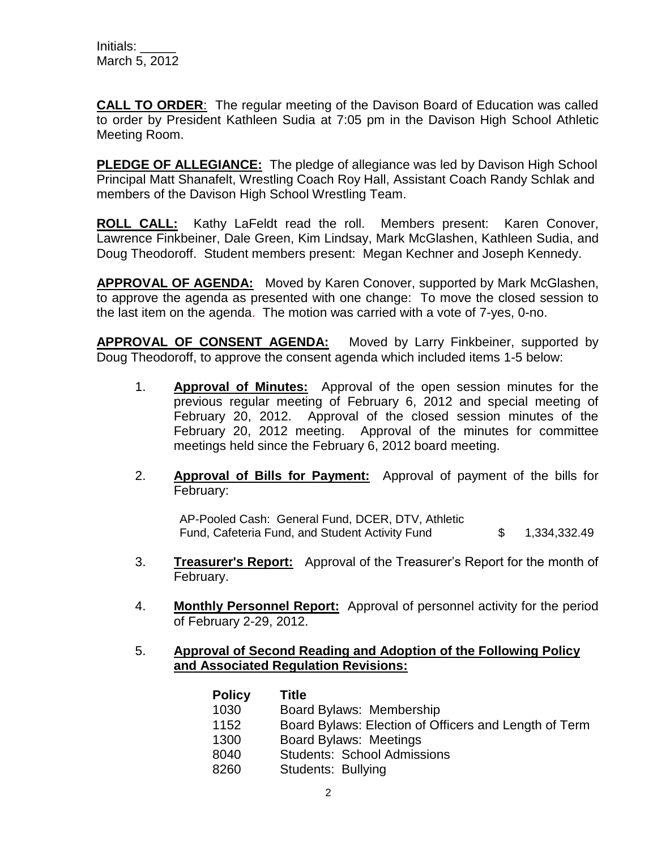**CALL TO ORDER**: The regular meeting of the Davison Board of Education was called to order by President Kathleen Sudia at 7:05 pm in the Davison High School Athletic Meeting Room.

**PLEDGE OF ALLEGIANCE:** The pledge of allegiance was led by Davison High School Principal Matt Shanafelt, Wrestling Coach Roy Hall, Assistant Coach Randy Schlak and members of the Davison High School Wrestling Team.

**ROLL CALL:** Kathy LaFeldt read the roll. Members present: Karen Conover, Lawrence Finkbeiner, Dale Green, Kim Lindsay, Mark McGlashen, Kathleen Sudia, and Doug Theodoroff. Student members present: Megan Kechner and Joseph Kennedy.

**APPROVAL OF AGENDA:** Moved by Karen Conover, supported by Mark McGlashen, to approve the agenda as presented with one change: To move the closed session to the last item on the agenda. The motion was carried with a vote of 7-yes, 0-no.

**APPROVAL OF CONSENT AGENDA:** Moved by Larry Finkbeiner, supported by Doug Theodoroff, to approve the consent agenda which included items 1-5 below:

- 1. **Approval of Minutes:** Approval of the open session minutes for the previous regular meeting of February 6, 2012 and special meeting of February 20, 2012. Approval of the closed session minutes of the February 20, 2012 meeting. Approval of the minutes for committee meetings held since the February 6, 2012 board meeting.
- 2. **Approval of Bills for Payment:** Approval of payment of the bills for February:

AP-Pooled Cash: General Fund, DCER, DTV, Athletic Fund, Cafeteria Fund, and Student Activity Fund  $$ 1,334,332.49$ 

- 3. **Treasurer's Report:** Approval of the Treasurer's Report for the month of February.
- 4. **Monthly Personnel Report:** Approval of personnel activity for the period of February 2-29, 2012.

#### 5. **Approval of Second Reading and Adoption of the Following Policy and Associated Regulation Revisions:**

| <b>Policy</b> | Title                                                 |
|---------------|-------------------------------------------------------|
| 1030          | Board Bylaws: Membership                              |
| 1152          | Board Bylaws: Election of Officers and Length of Term |
| 1300          | <b>Board Bylaws: Meetings</b>                         |
| 8040          | <b>Students: School Admissions</b>                    |
| 8260          | Students: Bullying                                    |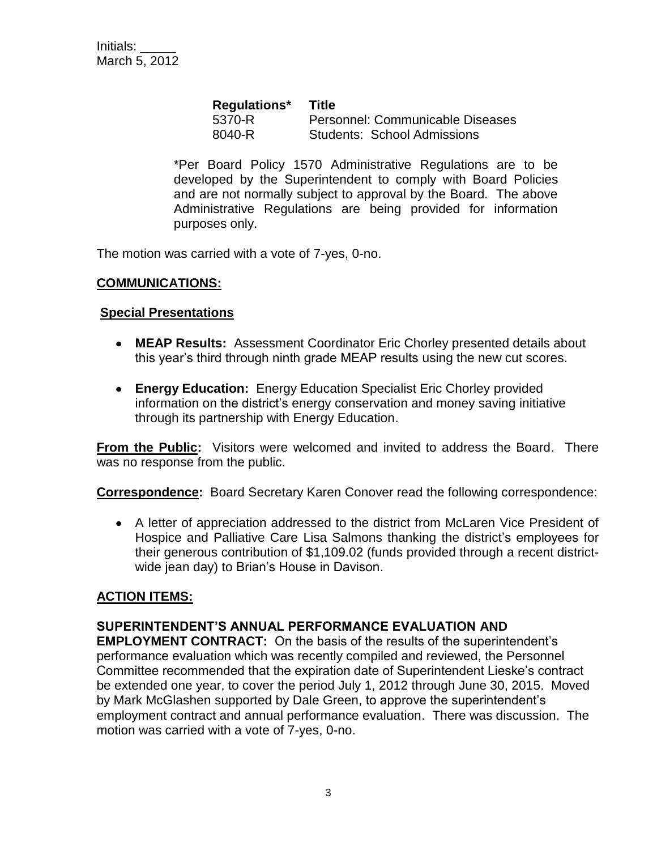| Regulations* | <b>Title</b>                       |
|--------------|------------------------------------|
| 5370-R       | Personnel: Communicable Diseases   |
| 8040-R       | <b>Students: School Admissions</b> |

\*Per Board Policy 1570 Administrative Regulations are to be developed by the Superintendent to comply with Board Policies and are not normally subject to approval by the Board. The above Administrative Regulations are being provided for information purposes only.

The motion was carried with a vote of 7-yes, 0-no.

## **COMMUNICATIONS:**

#### **Special Presentations**

- **MEAP Results:** Assessment Coordinator Eric Chorley presented details about this year's third through ninth grade MEAP results using the new cut scores.
- **Energy Education:** Energy Education Specialist Eric Chorley provided information on the district's energy conservation and money saving initiative through its partnership with Energy Education.

**From the Public:** Visitors were welcomed and invited to address the Board. There was no response from the public.

**Correspondence:** Board Secretary Karen Conover read the following correspondence:

A letter of appreciation addressed to the district from McLaren Vice President of Hospice and Palliative Care Lisa Salmons thanking the district's employees for their generous contribution of \$1,109.02 (funds provided through a recent districtwide jean day) to Brian's House in Davison.

#### **ACTION ITEMS:**

#### **SUPERINTENDENT'S ANNUAL PERFORMANCE EVALUATION AND**

**EMPLOYMENT CONTRACT:** On the basis of the results of the superintendent's performance evaluation which was recently compiled and reviewed, the Personnel Committee recommended that the expiration date of Superintendent Lieske's contract be extended one year, to cover the period July 1, 2012 through June 30, 2015. Moved by Mark McGlashen supported by Dale Green, to approve the superintendent's employment contract and annual performance evaluation. There was discussion. The motion was carried with a vote of 7-yes, 0-no.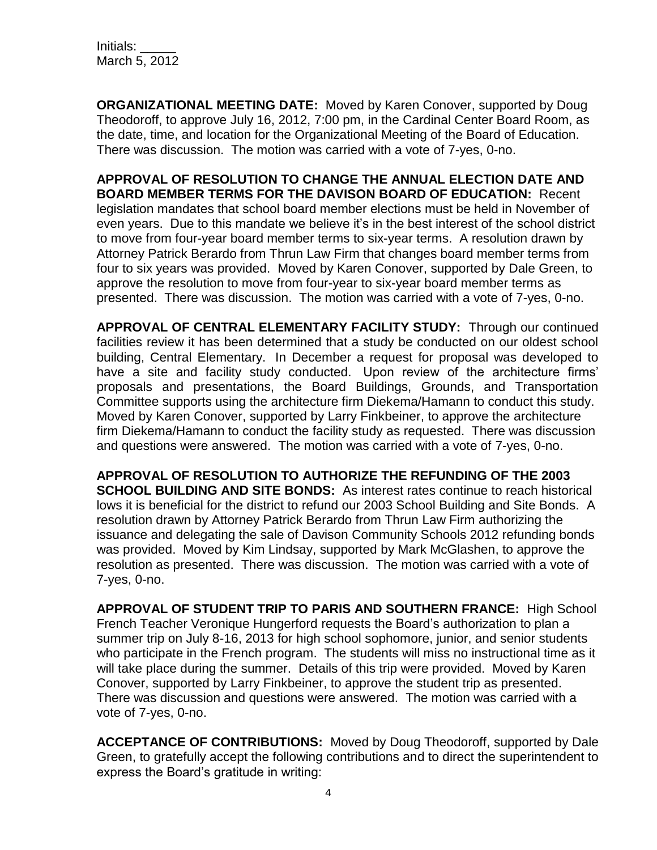**ORGANIZATIONAL MEETING DATE:** Moved by Karen Conover, supported by Doug Theodoroff, to approve July 16, 2012, 7:00 pm, in the Cardinal Center Board Room, as the date, time, and location for the Organizational Meeting of the Board of Education. There was discussion. The motion was carried with a vote of 7-yes, 0-no.

**APPROVAL OF RESOLUTION TO CHANGE THE ANNUAL ELECTION DATE AND BOARD MEMBER TERMS FOR THE DAVISON BOARD OF EDUCATION:** Recent legislation mandates that school board member elections must be held in November of even years. Due to this mandate we believe it's in the best interest of the school district to move from four-year board member terms to six-year terms. A resolution drawn by Attorney Patrick Berardo from Thrun Law Firm that changes board member terms from four to six years was provided. Moved by Karen Conover, supported by Dale Green, to approve the resolution to move from four-year to six-year board member terms as presented. There was discussion. The motion was carried with a vote of 7-yes, 0-no.

**APPROVAL OF CENTRAL ELEMENTARY FACILITY STUDY:** Through our continued facilities review it has been determined that a study be conducted on our oldest school building, Central Elementary. In December a request for proposal was developed to have a site and facility study conducted. Upon review of the architecture firms' proposals and presentations, the Board Buildings, Grounds, and Transportation Committee supports using the architecture firm Diekema/Hamann to conduct this study. Moved by Karen Conover, supported by Larry Finkbeiner, to approve the architecture firm Diekema/Hamann to conduct the facility study as requested. There was discussion and questions were answered. The motion was carried with a vote of 7-yes, 0-no.

**APPROVAL OF RESOLUTION TO AUTHORIZE THE REFUNDING OF THE 2003 SCHOOL BUILDING AND SITE BONDS:** As interest rates continue to reach historical lows it is beneficial for the district to refund our 2003 School Building and Site Bonds. A resolution drawn by Attorney Patrick Berardo from Thrun Law Firm authorizing the issuance and delegating the sale of Davison Community Schools 2012 refunding bonds was provided. Moved by Kim Lindsay, supported by Mark McGlashen, to approve the resolution as presented. There was discussion. The motion was carried with a vote of 7-yes, 0-no.

**APPROVAL OF STUDENT TRIP TO PARIS AND SOUTHERN FRANCE:** High School French Teacher Veronique Hungerford requests the Board's authorization to plan a summer trip on July 8-16, 2013 for high school sophomore, junior, and senior students who participate in the French program. The students will miss no instructional time as it will take place during the summer. Details of this trip were provided. Moved by Karen Conover, supported by Larry Finkbeiner, to approve the student trip as presented. There was discussion and questions were answered. The motion was carried with a vote of 7-yes, 0-no.

**ACCEPTANCE OF CONTRIBUTIONS:** Moved by Doug Theodoroff, supported by Dale Green, to gratefully accept the following contributions and to direct the superintendent to express the Board's gratitude in writing: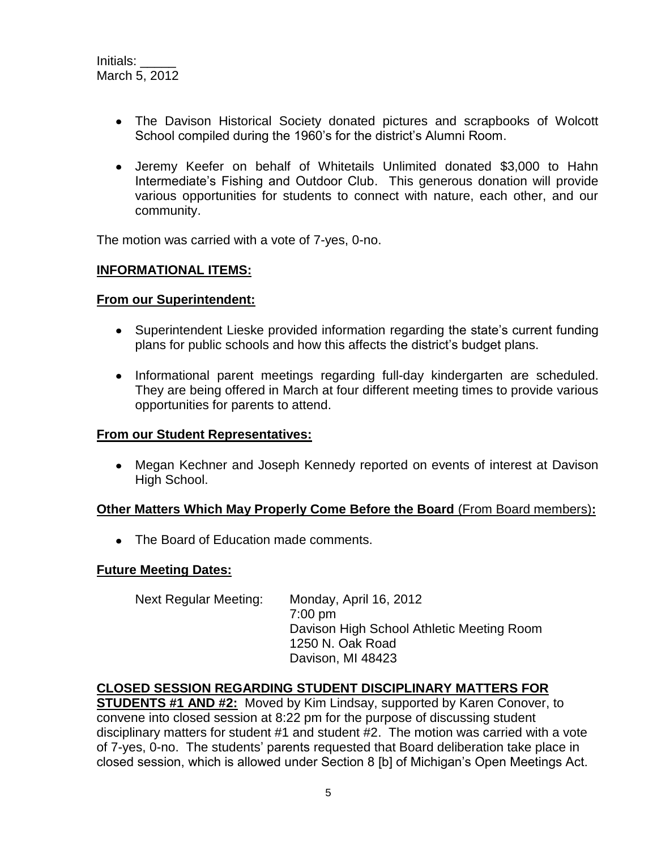- The Davison Historical Society donated pictures and scrapbooks of Wolcott School compiled during the 1960's for the district's Alumni Room.
- Jeremy Keefer on behalf of Whitetails Unlimited donated \$3,000 to Hahn Intermediate's Fishing and Outdoor Club. This generous donation will provide various opportunities for students to connect with nature, each other, and our community.

The motion was carried with a vote of 7-yes, 0-no.

#### **INFORMATIONAL ITEMS:**

#### **From our Superintendent:**

- Superintendent Lieske provided information regarding the state's current funding plans for public schools and how this affects the district's budget plans.
- Informational parent meetings regarding full-day kindergarten are scheduled. They are being offered in March at four different meeting times to provide various opportunities for parents to attend.

#### **From our Student Representatives:**

Megan Kechner and Joseph Kennedy reported on events of interest at Davison High School.

#### **Other Matters Which May Properly Come Before the Board** (From Board members)**:**

• The Board of Education made comments.

#### **Future Meeting Dates:**

Next Regular Meeting: Monday, April 16, 2012 7:00 pm Davison High School Athletic Meeting Room 1250 N. Oak Road Davison, MI 48423

#### **CLOSED SESSION REGARDING STUDENT DISCIPLINARY MATTERS FOR**

**STUDENTS #1 AND #2:** Moved by Kim Lindsay, supported by Karen Conover, to convene into closed session at 8:22 pm for the purpose of discussing student disciplinary matters for student #1 and student #2. The motion was carried with a vote of 7-yes, 0-no. The students' parents requested that Board deliberation take place in closed session, which is allowed under Section 8 [b] of Michigan's Open Meetings Act.